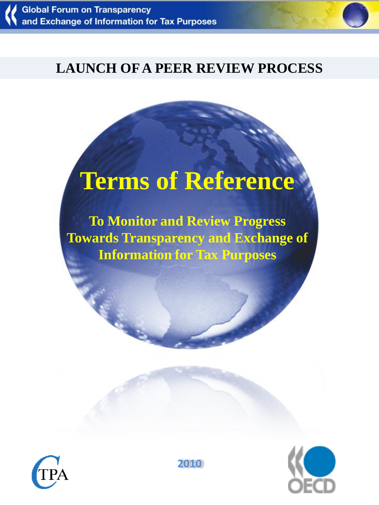

## **LAUNCH OF A PEER REVIEW PROCESS**

# **Terms of Reference**

**To Monitor and Review Progress Towards Transparency and Exchange of Information for Tax Purposes**





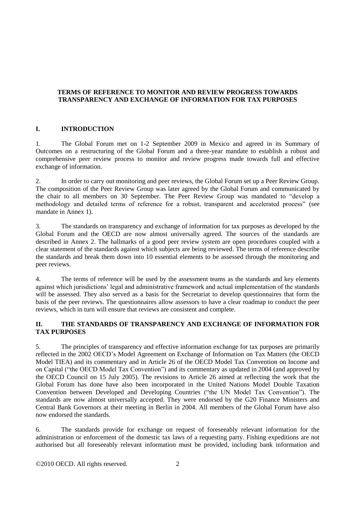#### **TERMS OF REFERENCE TO MONITOR AND REVIEW PROGRESS TOWARDS TRANSPARENCY AND EXCHANGE OF INFORMATION FOR TAX PURPOSES**

#### **I. INTRODUCTION**

1. The Global Forum met on 1-2 September 2009 in Mexico and agreed in its Summary of Outcomes on a restructuring of the Global Forum and a three-year mandate to establish a robust and comprehensive peer review process to monitor and review progress made towards full and effective exchange of information.

2. In order to carry out monitoring and peer reviews, the Global Forum set up a Peer Review Group. The composition of the Peer Review Group was later agreed by the Global Forum and communicated by the chair to all members on 30 September. The Peer Review Group was mandated to "develop a methodology and detailed terms of reference for a robust, transparent and accelerated process" (see mandate in Annex 1).

3. The standards on transparency and exchange of information for tax purposes as developed by the Global Forum and the OECD are now almost universally agreed. The sources of the standards are described in Annex 2. The hallmarks of a good peer review system are open procedures coupled with a clear statement of the standards against which subjects are being reviewed. The terms of reference describe the standards and break them down into 10 essential elements to be assessed through the monitoring and peer reviews.

4. The terms of reference will be used by the assessment teams as the standards and key elements against which jurisdictions' legal and administrative framework and actual implementation of the standards will be assessed. They also served as a basis for the Secretariat to develop questionnaires that form the basis of the peer reviews. The questionnaires allow assessors to have a clear roadmap to conduct the peer reviews, which in turn will ensure that reviews are consistent and complete.

#### **II. THE STANDARDS OF TRANSPARENCY AND EXCHANGE OF INFORMATION FOR TAX PURPOSES**

5. The principles of transparency and effective information exchange for tax purposes are primarily reflected in the 2002 OECD's Model Agreement on Exchange of Information on Tax Matters (the OECD Model TIEA) and its commentary and in Article 26 of the OECD Model Tax Convention on Income and on Capital ("the OECD Model Tax Convention") and its commentary as updated in 2004 (and approved by the OECD Council on 15 July 2005). The revisions to Article 26 aimed at reflecting the work that the Global Forum has done have also been incorporated in the United Nations Model Double Taxation Convention between Developed and Developing Countries ("the UN Model Tax Convention"). The standards are now almost universally accepted. They were endorsed by the G20 Finance Ministers and Central Bank Governors at their meeting in Berlin in 2004. All members of the Global Forum have also now endorsed the standards.

6. The standards provide for exchange on request of foreseeably relevant information for the administration or enforcement of the domestic tax laws of a requesting party. Fishing expeditions are not authorised but all foreseeably relevant information must be provided, including bank information and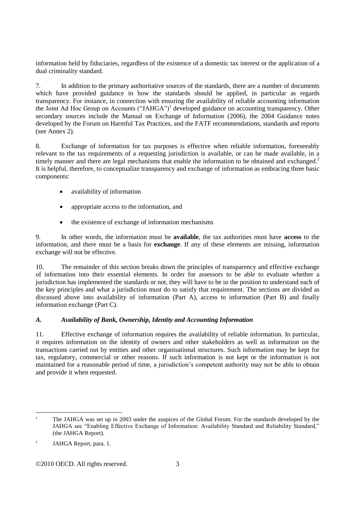information held by fiduciaries, regardless of the existence of a domestic tax interest or the application of a dual criminality standard.

7. In addition to the primary authoritative sources of the standards, there are a number of documents which have provided guidance in how the standards should be applied, in particular as regards transparency. For instance, in connection with ensuring the availability of reliable accounting information the Joint Ad Hoc Group on Accounts ("JAHGA")<sup>1</sup> developed guidance on accounting transparency. Other secondary sources include the Manual on Exchange of Information (2006), the 2004 Guidance notes developed by the Forum on Harmful Tax Practices, and the FATF recommendations, standards and reports (see Annex 2).

8. Exchange of information for tax purposes is effective when reliable information, foreseeably relevant to the tax requirements of a requesting jurisdiction is available, or can be made available, in a timely manner and there are legal mechanisms that enable the information to be obtained and exchanged.<sup>2</sup> It is helpful, therefore, to conceptualize transparency and exchange of information as embracing three basic components:

- availability of information
- appropriate access to the information, and
- the existence of exchange of information mechanisms

9. In other words, the information must be **available**, the tax authorities must have **access** to the information, and there must be a basis for **exchange**. If any of these elements are missing, information exchange will not be effective.

10. The remainder of this section breaks down the principles of transparency and effective exchange of information into their essential elements. In order for assessors to be able to evaluate whether a jurisdiction has implemented the standards or not, they will have to be in the position to understand each of the key principles and what a jurisdiction must do to satisfy that requirement. The sections are divided as discussed above into availability of information (Part A), access to information (Part B) and finally information exchange (Part C).

#### *A. Availability of Bank, Ownership, Identity and Accounting Information*

11. Effective exchange of information requires the availability of reliable information. In particular, it requires information on the identity of owners and other stakeholders as well as information on the transactions carried out by entities and other organisational structures. Such information may be kept for tax, regulatory, commercial or other reasons. If such information is not kept or the information is not maintained for a reasonable period of time, a jurisdiction's competent authority may not be able to obtain and provide it when requested.

 $\overline{a}$ <sup>1</sup> The JAHGA was set up in 2003 under the auspices of the Global Forum. For the standards developed by the JAHGA see "Enabling Effective Exchange of Information: Availability Standard and Reliability Standard," (the JAHGA Report).

<sup>2</sup> JAHGA Report, para. 1.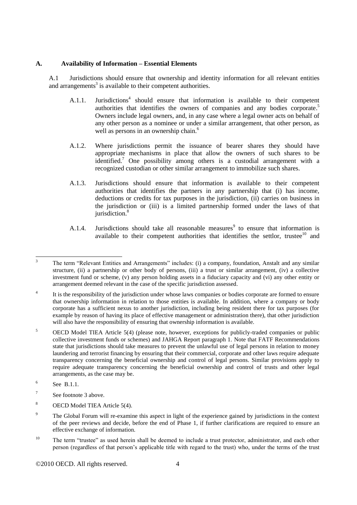#### **A. Availability of Information – Essential Elements**

A.1 Jurisdictions should ensure that ownership and identity information for all relevant entities and arrangements<sup>3</sup> is available to their competent authorities.

- A.1.1. Jurisdictions<sup>4</sup> should ensure that information is available to their competent authorities that identifies the owners of companies and any bodies corporate.<sup>5</sup> Owners include legal owners, and, in any case where a legal owner acts on behalf of any other person as a nominee or under a similar arrangement, that other person, as well as persons in an ownership chain.<sup>6</sup>
- A.1.2. Where jurisdictions permit the issuance of bearer shares they should have appropriate mechanisms in place that allow the owners of such shares to be  $id$ entified.<sup>7</sup> One possibility among others is a custodial arrangement with a recognized custodian or other similar arrangement to immobilize such shares.
- A.1.3. Jurisdictions should ensure that information is available to their competent authorities that identifies the partners in any partnership that (i) has income, deductions or credits for tax purposes in the jurisdiction, (ii) carries on business in the jurisdiction or (iii) is a limited partnership formed under the laws of that jurisdiction.<sup>8</sup>
- A.1.4. Jurisdictions should take all reasonable measures<sup>9</sup> to ensure that information is available to their competent authorities that identifies the settlor, trustee<sup>10</sup> and

<sup>8</sup> OECD Model TIEA Article 5(4).

<sup>10</sup> The term "trustee" as used herein shall be deemed to include a trust protector, administrator, and each other person (regardless of that person's applicable title with regard to the trust) who, under the terms of the trust

 $\overline{\mathbf{3}}$ <sup>3</sup> The term "Relevant Entities and Arrangements" includes: (i) a company, foundation, Anstalt and any similar structure, (ii) a partnership or other body of persons, (iii) a trust or similar arrangement, (iv) a collective investment fund or scheme, (v) any person holding assets in a fiduciary capacity and (vi) any other entity or arrangement deemed relevant in the case of the specific jurisdiction assessed.

<sup>4</sup> It is the responsibility of the jurisdiction under whose laws companies or bodies corporate are formed to ensure that ownership information in relation to those entities is available. In addition, where a company or body corporate has a sufficient nexus to another jurisdiction, including being resident there for tax purposes (for example by reason of having its place of effective management or administration there), that other jurisdiction will also have the responsibility of ensuring that ownership information is available.

<sup>5</sup> OECD Model TIEA Article 5(4) (please note, however, exceptions for publicly-traded companies or public collective investment funds or schemes) and JAHGA Report paragraph 1. Note that FATF Recommendations state that jurisdictions should take measures to prevent the unlawful use of legal persons in relation to money laundering and terrorist financing by ensuring that their commercial, corporate and other laws require adequate transparency concerning the beneficial ownership and control of legal persons. Similar provisions apply to require adequate transparency concerning the beneficial ownership and control of trusts and other legal arrangements, as the case may be.

<sup>6</sup> See B.1.1.

<sup>7</sup> See footnote 3 above.

 $\overline{Q}$ The Global Forum will re-examine this aspect in light of the experience gained by jurisdictions in the context of the peer reviews and decide, before the end of Phase 1, if further clarifications are required to ensure an effective exchange of information.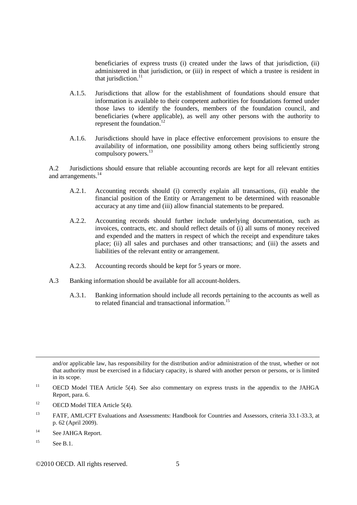beneficiaries of express trusts (i) created under the laws of that jurisdiction, (ii) administered in that jurisdiction, or (iii) in respect of which a trustee is resident in that jurisdiction. $11$ 

- A.1.5. Jurisdictions that allow for the establishment of foundations should ensure that information is available to their competent authorities for foundations formed under those laws to identify the founders, members of the foundation council, and beneficiaries (where applicable), as well any other persons with the authority to represent the foundation. $12$
- A.1.6. Jurisdictions should have in place effective enforcement provisions to ensure the availability of information, one possibility among others being sufficiently strong compulsory powers. $^{13}$

A.2 Jurisdictions should ensure that reliable accounting records are kept for all relevant entities and arrangements.<sup>14</sup>

- A.2.1. Accounting records should (i) correctly explain all transactions, (ii) enable the financial position of the Entity or Arrangement to be determined with reasonable accuracy at any time and (iii) allow financial statements to be prepared.
- A.2.2. Accounting records should further include underlying documentation, such as invoices, contracts, etc. and should reflect details of (i) all sums of money received and expended and the matters in respect of which the receipt and expenditure takes place; (ii) all sales and purchases and other transactions; and (iii) the assets and liabilities of the relevant entity or arrangement.
- A.2.3. Accounting records should be kept for 5 years or more.
- A.3 Banking information should be available for all account-holders.
	- A.3.1. Banking information should include all records pertaining to the accounts as well as to related financial and transactional information.<sup>15</sup>

and/or applicable law, has responsibility for the distribution and/or administration of the trust, whether or not that authority must be exercised in a fiduciary capacity, is shared with another person or persons, or is limited in its scope.

- <sup>11</sup> OECD Model TIEA Article 5(4). See also commentary on express trusts in the appendix to the JAHGA Report, para. 6.
- $12$  OECD Model TIEA Article 5(4).
- <sup>13</sup> FATF, AML/CFT Evaluations and Assessments: Handbook for Countries and Assessors, criteria 33.1-33.3, at p. 62 (April 2009).
- <sup>14</sup> See JAHGA Report.
- $^{15}$  See B.1.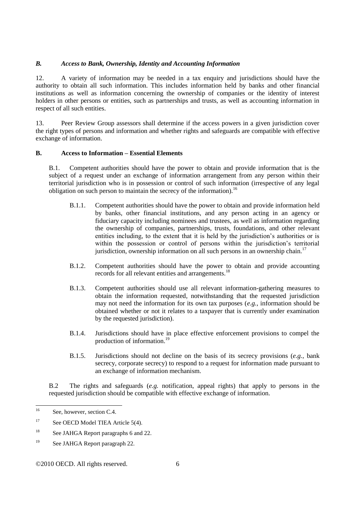#### *B. Access to Bank, Ownership, Identity and Accounting Information*

12. A variety of information may be needed in a tax enquiry and jurisdictions should have the authority to obtain all such information. This includes information held by banks and other financial institutions as well as information concerning the ownership of companies or the identity of interest holders in other persons or entities, such as partnerships and trusts, as well as accounting information in respect of all such entities.

13. Peer Review Group assessors shall determine if the access powers in a given jurisdiction cover the right types of persons and information and whether rights and safeguards are compatible with effective exchange of information.

#### **B. Access to Information – Essential Elements**

B.1. Competent authorities should have the power to obtain and provide information that is the subject of a request under an exchange of information arrangement from any person within their territorial jurisdiction who is in possession or control of such information (irrespective of any legal obligation on such person to maintain the secrecy of the information).<sup>16</sup>

- B.1.1. Competent authorities should have the power to obtain and provide information held by banks, other financial institutions, and any person acting in an agency or fiduciary capacity including nominees and trustees, as well as information regarding the ownership of companies, partnerships, trusts, foundations, and other relevant entities including, to the extent that it is held by the jurisdiction's authorities or is within the possession or control of persons within the jurisdiction's territorial jurisdiction, ownership information on all such persons in an ownership chain.<sup>17</sup>
- B.1.2. Competent authorities should have the power to obtain and provide accounting records for all relevant entities and arrangements.<sup>18</sup>
- B.1.3. Competent authorities should use all relevant information-gathering measures to obtain the information requested, notwithstanding that the requested jurisdiction may not need the information for its own tax purposes (*e.g.*, information should be obtained whether or not it relates to a taxpayer that is currently under examination by the requested jurisdiction).
- B.1.4. Jurisdictions should have in place effective enforcement provisions to compel the production of information.<sup>19</sup>
- B.1.5. Jurisdictions should not decline on the basis of its secrecy provisions (*e.g.*, bank secrecy, corporate secrecy) to respond to a request for information made pursuant to an exchange of information mechanism.

B.2 The rights and safeguards (*e.g.* notification, appeal rights) that apply to persons in the requested jurisdiction should be compatible with effective exchange of information.

<sup>16</sup> See, however, section C.4.

<sup>&</sup>lt;sup>17</sup> See OECD Model TIEA Article 5(4).

<sup>&</sup>lt;sup>18</sup> See JAHGA Report paragraphs 6 and 22.

<sup>19</sup> See JAHGA Report paragraph 22.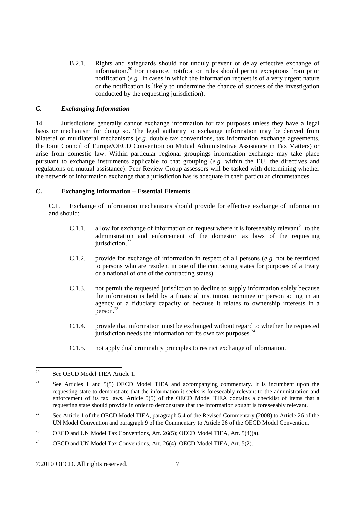B.2.1. Rights and safeguards should not unduly prevent or delay effective exchange of information.<sup>20</sup> For instance, notification rules should permit exceptions from prior notification (*e.g.*, in cases in which the information request is of a very urgent nature or the notification is likely to undermine the chance of success of the investigation conducted by the requesting jurisdiction).

#### *C. Exchanging Information*

14. Jurisdictions generally cannot exchange information for tax purposes unless they have a legal basis or mechanism for doing so. The legal authority to exchange information may be derived from bilateral or multilateral mechanisms (*e.g.* double tax conventions, tax information exchange agreements, the Joint Council of Europe/OECD Convention on Mutual Administrative Assistance in Tax Matters) or arise from domestic law. Within particular regional groupings information exchange may take place pursuant to exchange instruments applicable to that grouping (*e.g.* within the EU, the directives and regulations on mutual assistance). Peer Review Group assessors will be tasked with determining whether the network of information exchange that a jurisdiction has is adequate in their particular circumstances.

#### **C. Exchanging Information – Essential Elements**

C.1. Exchange of information mechanisms should provide for effective exchange of information and should:

- C.1.1. allow for exchange of information on request where it is foreseeably relevant<sup>21</sup> to the administration and enforcement of the domestic tax laws of the requesting jurisdiction. 22
- C.1.2. provide for exchange of information in respect of all persons (*e.g.* not be restricted to persons who are resident in one of the contracting states for purposes of a treaty or a national of one of the contracting states).
- C.1.3. not permit the requested jurisdiction to decline to supply information solely because the information is held by a financial institution, nominee or person acting in an agency or a fiduciary capacity or because it relates to ownership interests in a person.<sup>23</sup>
- C.1.4. provide that information must be exchanged without regard to whether the requested jurisdiction needs the information for its own tax purposes. $^{24}$
- C.1.5. not apply dual criminality principles to restrict exchange of information.

<sup>20</sup> See OECD Model TIEA Article 1.

<sup>&</sup>lt;sup>21</sup> See Articles 1 and 5(5) OECD Model TIEA and accompanying commentary. It is incumbent upon the requesting state to demonstrate that the information it seeks is foreseeably relevant to the administration and enforcement of its tax laws. Article 5(5) of the OECD Model TIEA contains a checklist of items that a requesting state should provide in order to demonstrate that the information sought is foreseeably relevant.

<sup>&</sup>lt;sup>22</sup> See Article 1 of the OECD Model TIEA, paragraph 5.4 of the Revised Commentary (2008) to Article 26 of the UN Model Convention and paragraph 9 of the Commentary to Article 26 of the OECD Model Convention.

<sup>&</sup>lt;sup>23</sup> OECD and UN Model Tax Conventions, Art. 26(5); OECD Model TIEA, Art. 5(4)(a).

<sup>&</sup>lt;sup>24</sup> OECD and UN Model Tax Conventions, Art. 26(4); OECD Model TIEA, Art. 5(2).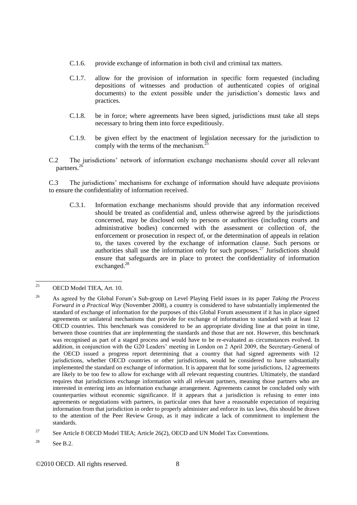- C.1.6. provide exchange of information in both civil and criminal tax matters.
- C.1.7. allow for the provision of information in specific form requested (including depositions of witnesses and production of authenticated copies of original documents) to the extent possible under the jurisdiction's domestic laws and practices.
- C.1.8. be in force; where agreements have been signed, jurisdictions must take all steps necessary to bring them into force expeditiously.
- C.1.9. be given effect by the enactment of legislation necessary for the jurisdiction to comply with the terms of the mechanism. $<sup>2</sup>$ </sup>
- C.2 The jurisdictions' network of information exchange mechanisms should cover all relevant partners.<sup>26</sup>

C.3 The jurisdictions' mechanisms for exchange of information should have adequate provisions to ensure the confidentiality of information received.

C.3.1. Information exchange mechanisms should provide that any information received should be treated as confidential and, unless otherwise agreed by the jurisdictions concerned, may be disclosed only to persons or authorities (including courts and administrative bodies) concerned with the assessment or collection of, the enforcement or prosecution in respect of, or the determination of appeals in relation to, the taxes covered by the exchange of information clause. Such persons or authorities shall use the information only for such purposes.<sup>27</sup> Jurisdictions should ensure that safeguards are in place to protect the confidentiality of information exchanged.<sup>28</sup>

<sup>25</sup> OECD Model TIEA, Art. 10.

<sup>26</sup> As agreed by the Global Forum's Sub-group on Level Playing Field issues in its paper *Taking the Process Forward in a Practical Way* (November 2008), a country is considered to have substantially implemented the standard of exchange of information for the purposes of this Global Forum assessment if it has in place signed agreements or unilateral mechanisms that provide for exchange of information to standard with at least 12 OECD countries. This benchmark was considered to be an appropriate dividing line at that point in time, between those countries that are implementing the standards and those that are not. However, this benchmark was recognised as part of a staged process and would have to be re-evaluated as circumstances evolved. In addition, in conjunction with the G20 Leaders' meeting in London on 2 April 2009, the Secretary-General of the OECD issued a progress report determining that a country that had signed agreements with 12 jurisdictions, whether OECD countries or other jurisdictions, would be considered to have substantially implemented the standard on exchange of information. It is apparent that for some jurisdictions, 12 agreements are likely to be too few to allow for exchange with all relevant requesting countries. Ultimately, the standard requires that jurisdictions exchange information with all relevant partners, meaning those partners who are interested in entering into an information exchange arrangement. Agreements cannot be concluded only with counterparties without economic significance. If it appears that a jurisdiction is refusing to enter into agreements or negotiations with partners, in particular ones that have a reasonable expectation of requiring information from that jurisdiction in order to properly administer and enforce its tax laws, this should be drawn to the attention of the Peer Review Group, as it may indicate a lack of commitment to implement the standards.

<sup>&</sup>lt;sup>27</sup> See Article 8 OECD Model TIEA: Article 26(2), OECD and UN Model Tax Conventions.

<sup>&</sup>lt;sup>28</sup> See B.2.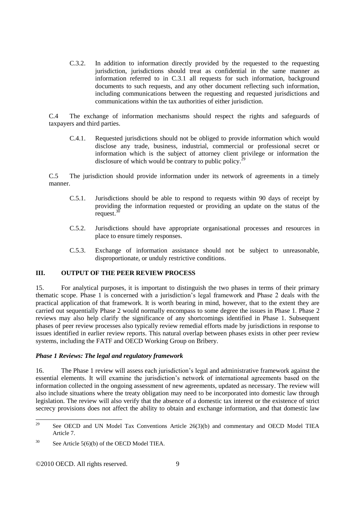C.3.2. In addition to information directly provided by the requested to the requesting jurisdiction, jurisdictions should treat as confidential in the same manner as information referred to in C.3.1 all requests for such information, background documents to such requests, and any other document reflecting such information, including communications between the requesting and requested jurisdictions and communications within the tax authorities of either jurisdiction.

C.4 The exchange of information mechanisms should respect the rights and safeguards of taxpayers and third parties.

C.4.1. Requested jurisdictions should not be obliged to provide information which would disclose any trade, business, industrial, commercial or professional secret or information which is the subject of attorney client privilege or information the disclosure of which would be contrary to public policy.<sup>29</sup>

C.5 The jurisdiction should provide information under its network of agreements in a timely manner.

- C.5.1. Jurisdictions should be able to respond to requests within 90 days of receipt by providing the information requested or providing an update on the status of the request.<sup>30</sup>
- C.5.2. Jurisdictions should have appropriate organisational processes and resources in place to ensure timely responses.
- C.5.3. Exchange of information assistance should not be subject to unreasonable, disproportionate, or unduly restrictive conditions.

#### **III. OUTPUT OF THE PEER REVIEW PROCESS**

15. For analytical purposes, it is important to distinguish the two phases in terms of their primary thematic scope. Phase 1 is concerned with a jurisdiction's legal framework and Phase 2 deals with the practical application of that framework. It is worth bearing in mind, however, that to the extent they are carried out sequentially Phase 2 would normally encompass to some degree the issues in Phase 1. Phase 2 reviews may also help clarify the significance of any shortcomings identified in Phase 1. Subsequent phases of peer review processes also typically review remedial efforts made by jurisdictions in response to issues identified in earlier review reports. This natural overlap between phases exists in other peer review systems, including the FATF and OECD Working Group on Bribery.

#### *Phase 1 Reviews: The legal and regulatory framework*

16. The Phase 1 review will assess each jurisdiction's legal and administrative framework against the essential elements. It will examine the jurisdiction's network of international agreements based on the information collected in the ongoing assessment of new agreements, updated as necessary. The review will also include situations where the treaty obligation may need to be incorporated into domestic law through legislation. The review will also verify that the absence of a domestic tax interest or the existence of strict secrecy provisions does not affect the ability to obtain and exchange information, and that domestic law

<sup>29</sup> See OECD and UN Model Tax Conventions Article 26(3)(b) and commentary and OECD Model TIEA Article 7.

 $30$  See Article 5(6)(b) of the OECD Model TIEA.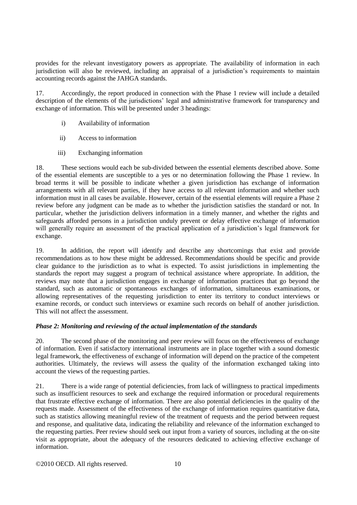provides for the relevant investigatory powers as appropriate. The availability of information in each jurisdiction will also be reviewed, including an appraisal of a jurisdiction's requirements to maintain accounting records against the JAHGA standards.

17. Accordingly, the report produced in connection with the Phase 1 review will include a detailed description of the elements of the jurisdictions' legal and administrative framework for transparency and exchange of information. This will be presented under 3 headings:

- i) Availability of information
- ii) Access to information
- iii) Exchanging information

18. These sections would each be sub-divided between the essential elements described above. Some of the essential elements are susceptible to a yes or no determination following the Phase 1 review. In broad terms it will be possible to indicate whether a given jurisdiction has exchange of information arrangements with all relevant parties, if they have access to all relevant information and whether such information must in all cases be available. However, certain of the essential elements will require a Phase 2 review before any judgment can be made as to whether the jurisdiction satisfies the standard or not. In particular, whether the jurisdiction delivers information in a timely manner, and whether the rights and safeguards afforded persons in a jurisdiction unduly prevent or delay effective exchange of information will generally require an assessment of the practical application of a jurisdiction's legal framework for exchange.

19. In addition, the report will identify and describe any shortcomings that exist and provide recommendations as to how these might be addressed. Recommendations should be specific and provide clear guidance to the jurisdiction as to what is expected. To assist jurisdictions in implementing the standards the report may suggest a program of technical assistance where appropriate. In addition, the reviews may note that a jurisdiction engages in exchange of information practices that go beyond the standard, such as automatic or spontaneous exchanges of information, simultaneous examinations, or allowing representatives of the requesting jurisdiction to enter its territory to conduct interviews or examine records, or conduct such interviews or examine such records on behalf of another jurisdiction. This will not affect the assessment.

#### *Phase 2: Monitoring and reviewing of the actual implementation of the standards*

20. The second phase of the monitoring and peer review will focus on the effectiveness of exchange of information. Even if satisfactory international instruments are in place together with a sound domestic legal framework, the effectiveness of exchange of information will depend on the practice of the competent authorities. Ultimately, the reviews will assess the quality of the information exchanged taking into account the views of the requesting parties.

21. There is a wide range of potential deficiencies, from lack of willingness to practical impediments such as insufficient resources to seek and exchange the required information or procedural requirements that frustrate effective exchange of information. There are also potential deficiencies in the quality of the requests made. Assessment of the effectiveness of the exchange of information requires quantitative data, such as statistics allowing meaningful review of the treatment of requests and the period between request and response, and qualitative data, indicating the reliability and relevance of the information exchanged to the requesting parties. Peer review should seek out input from a variety of sources, including at the on-site visit as appropriate, about the adequacy of the resources dedicated to achieving effective exchange of information.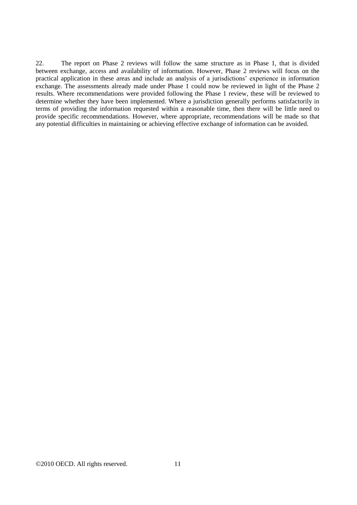22. The report on Phase 2 reviews will follow the same structure as in Phase 1, that is divided between exchange, access and availability of information. However, Phase 2 reviews will focus on the practical application in these areas and include an analysis of a jurisdictions' experience in information exchange. The assessments already made under Phase 1 could now be reviewed in light of the Phase 2 results. Where recommendations were provided following the Phase 1 review, these will be reviewed to determine whether they have been implemented. Where a jurisdiction generally performs satisfactorily in terms of providing the information requested within a reasonable time, then there will be little need to provide specific recommendations. However, where appropriate, recommendations will be made so that any potential difficulties in maintaining or achieving effective exchange of information can be avoided.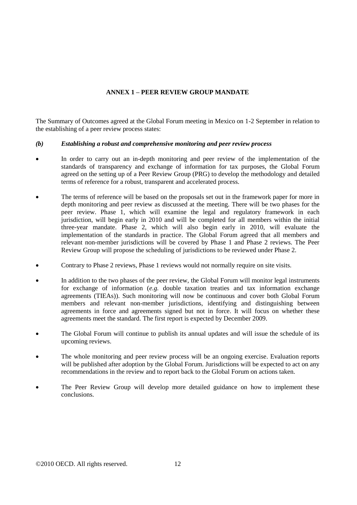#### **ANNEX 1 – PEER REVIEW GROUP MANDATE**

The Summary of Outcomes agreed at the Global Forum meeting in Mexico on 1-2 September in relation to the establishing of a peer review process states:

#### *(b) Establishing a robust and comprehensive monitoring and peer review process*

- In order to carry out an in-depth monitoring and peer review of the implementation of the standards of transparency and exchange of information for tax purposes, the Global Forum agreed on the setting up of a Peer Review Group (PRG) to develop the methodology and detailed terms of reference for a robust, transparent and accelerated process.
- The terms of reference will be based on the proposals set out in the framework paper for more in depth monitoring and peer review as discussed at the meeting. There will be two phases for the peer review. Phase 1, which will examine the legal and regulatory framework in each jurisdiction, will begin early in 2010 and will be completed for all members within the initial three-year mandate. Phase 2, which will also begin early in 2010, will evaluate the implementation of the standards in practice. The Global Forum agreed that all members and relevant non-member jurisdictions will be covered by Phase 1 and Phase 2 reviews. The Peer Review Group will propose the scheduling of jurisdictions to be reviewed under Phase 2.
- Contrary to Phase 2 reviews, Phase 1 reviews would not normally require on site visits.
- In addition to the two phases of the peer review, the Global Forum will monitor legal instruments for exchange of information (*e.g.* double taxation treaties and tax information exchange agreements (TIEAs)). Such monitoring will now be continuous and cover both Global Forum members and relevant non-member jurisdictions, identifying and distinguishing between agreements in force and agreements signed but not in force. It will focus on whether these agreements meet the standard. The first report is expected by December 2009.
- The Global Forum will continue to publish its annual updates and will issue the schedule of its upcoming reviews.
- The whole monitoring and peer review process will be an ongoing exercise. Evaluation reports will be published after adoption by the Global Forum. Jurisdictions will be expected to act on any recommendations in the review and to report back to the Global Forum on actions taken.
- The Peer Review Group will develop more detailed guidance on how to implement these conclusions.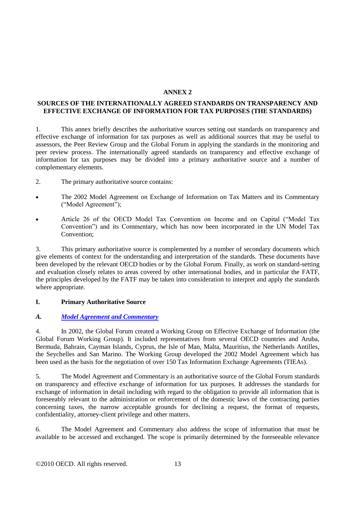#### **ANNEX 2**

#### **SOURCES OF THE INTERNATIONALLY AGREED STANDARDS ON TRANSPARENCY AND EFFECTIVE EXCHANGE OF INFORMATION FOR TAX PURPOSES (THE STANDARDS)**

1. This annex briefly describes the authoritative sources setting out standards on transparency and effective exchange of information for tax purposes as well as additional sources that may be useful to assessors, the Peer Review Group and the Global Forum in applying the standards in the monitoring and peer review process. The internationally agreed standards on transparency and effective exchange of information for tax purposes may be divided into a primary authoritative source and a number of complementary elements.

- 2. The primary authoritative source contains:
- The 2002 Model Agreement on Exchange of Information on Tax Matters and its Commentary ("Model Agreement");
- Article 26 of the OECD Model Tax Convention on Income and on Capital ("Model Tax Convention") and its Commentary, which has now been incorporated in the UN Model Tax Convention;

3. This primary authoritative source is complemented by a number of secondary documents which give elements of context for the understanding and interpretation of the standards. These documents have been developed by the relevant OECD bodies or by the Global Forum. Finally, as work on standard-setting and evaluation closely relates to areas covered by other international bodies, and in particular the FATF, the principles developed by the FATF may be taken into consideration to interpret and apply the standards where appropriate.

#### **I. Primary Authoritative Source**

#### *A. [Model Agreement and Commentary](http://www.oecd.org/dataoecd/15/43/2082215.pdf)*

4. In 2002, the Global Forum created a Working Group on Effective Exchange of Information (the Global Forum Working Group). It included representatives from several OECD countries and Aruba, Bermuda, Bahrain, Cayman Islands, Cyprus, the Isle of Man, Malta, Mauritius, the Netherlands Antilles, the Seychelles and San Marino. The Working Group developed the 2002 Model Agreement which has been used as the basis for the negotiation of over 150 Tax Information Exchange Agreements (TIEAs).

5. The Model Agreement and Commentary is an authoritative source of the Global Forum standards on transparency and effective exchange of information for tax purposes. It addresses the standards for exchange of information in detail including with regard to the obligation to provide all information that is foreseeably relevant to the administration or enforcement of the domestic laws of the contracting parties concerning taxes, the narrow acceptable grounds for declining a request, the format of requests, confidentiality, attorney-client privilege and other matters.

6. The Model Agreement and Commentary also address the scope of information that must be available to be accessed and exchanged. The scope is primarily determined by the foreseeable relevance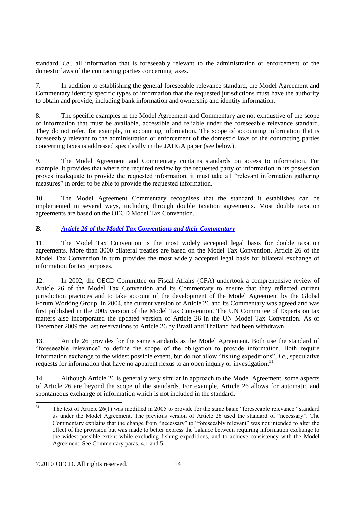standard, *i.e.*, all information that is foreseeably relevant to the administration or enforcement of the domestic laws of the contracting parties concerning taxes.

7. In addition to establishing the general foreseeable relevance standard, the Model Agreement and Commentary identify specific types of information that the requested jurisdictions must have the authority to obtain and provide, including bank information and ownership and identity information.

8. The specific examples in the Model Agreement and Commentary are not exhaustive of the scope of information that must be available, accessible and reliable under the foreseeable relevance standard. They do not refer, for example, to accounting information. The scope of accounting information that is foreseeably relevant to the administration or enforcement of the domestic laws of the contracting parties concerning taxes is addressed specifically in the JAHGA paper (see below).

9. The Model Agreement and Commentary contains standards on access to information. For example, it provides that where the required review by the requested party of information in its possession proves inadequate to provide the requested information, it must take all "relevant information gathering measures" in order to be able to provide the requested information.

10. The Model Agreement Commentary recognises that the standard it establishes can be implemented in several ways, including through double taxation agreements. Most double taxation agreements are based on the OECD Model Tax Convention.

#### *B. [Article 26 of the Model Tax Conventions and their Commentary](http://www.eurofield.com:8080/emtc2/index.htm?%20ln=016CC25C1B7AC44A)*

11. The Model Tax Convention is the most widely accepted legal basis for double taxation agreements. More than 3000 bilateral treaties are based on the Model Tax Convention. Article 26 of the Model Tax Convention in turn provides the most widely accepted legal basis for bilateral exchange of information for tax purposes.

12. In 2002, the OECD Committee on Fiscal Affairs (CFA) undertook a comprehensive review of Article 26 of the Model Tax Convention and its Commentary to ensure that they reflected current jurisdiction practices and to take account of the development of the Model Agreement by the Global Forum Working Group. In 2004, the current version of Article 26 and its Commentary was agreed and was first published in the 2005 version of the Model Tax Convention. The UN Committee of Experts on tax matters also incorporated the updated version of Article 26 in the UN Model Tax Convention. As of December 2009 the last reservations to Article 26 by Brazil and Thailand had been withdrawn.

13. Article 26 provides for the same standards as the Model Agreement. Both use the standard of "foreseeable relevance" to define the scope of the obligation to provide information. Both require information exchange to the widest possible extent, but do not allow "fishing expeditions", *i.e.*, speculative requests for information that have no apparent nexus to an open inquiry or investigation.<sup>31</sup>

14. Although Article 26 is generally very similar in approach to the Model Agreement, some aspects of Article 26 are beyond the scope of the standards. For example, Article 26 allows for automatic and spontaneous exchange of information which is not included in the standard.

 $\overline{31}$ <sup>31</sup> The text of Article 26(1) was modified in 2005 to provide for the same basic "foreseeable relevance" standard as under the Model Agreement. The previous version of Article 26 used the standard of "necessary". The Commentary explains that the change from "necessary" to "foreseeably relevant" was not intended to alter the effect of the provision but was made to better express the balance between requiring information exchange to the widest possible extent while excluding fishing expeditions, and to achieve consistency with the Model Agreement. See Commentary paras. 4.1 and 5.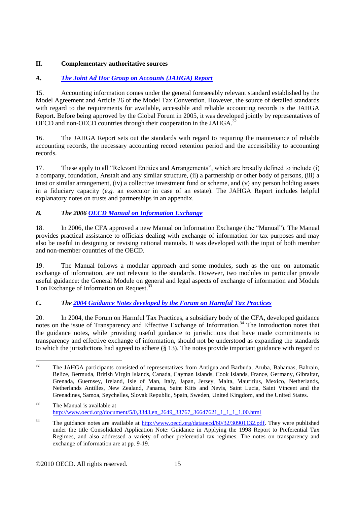#### **II. Complementary authoritative sources**

#### *A. [The Joint Ad Hoc Group on Accounts \(JAHGA\) Report](http://www.oecd.org/dataoecd/39/11/44654766.pdf)*

15. Accounting information comes under the general foreseeably relevant standard established by the Model Agreement and Article 26 of the Model Tax Convention. However, the source of detailed standards with regard to the requirements for available, accessible and reliable accounting records is the JAHGA Report. Before being approved by the Global Forum in 2005, it was developed jointly by representatives of OECD and non-OECD countries through their cooperation in the JAHGA.<sup>32</sup>

16. The JAHGA Report sets out the standards with regard to requiring the maintenance of reliable accounting records, the necessary accounting record retention period and the accessibility to accounting records.

17. These apply to all "Relevant Entities and Arrangements", which are broadly defined to include (i) a company, foundation, Anstalt and any similar structure, (ii) a partnership or other body of persons, (iii) a trust or similar arrangement, (iv) a collective investment fund or scheme, and (v) any person holding assets in a fiduciary capacity (*e.g.* an executor in case of an estate). The JAHGA Report includes helpful explanatory notes on trusts and partnerships in an appendix.

#### *B. The 2006 [OECD Manual on Information Exchange](http://www.oecd.org/document/5/0,3343,en_2649_33767_36647621_1_1_1_1,00.html)*

18. In 2006, the CFA approved a new Manual on Information Exchange (the "Manual"). The Manual provides practical assistance to officials dealing with exchange of information for tax purposes and may also be useful in designing or revising national manuals. It was developed with the input of both member and non-member countries of the OECD.

19. The Manual follows a modular approach and some modules, such as the one on automatic exchange of information, are not relevant to the standards. However, two modules in particular provide useful guidance: the General Module on general and legal aspects of exchange of information and Module 1 on Exchange of Information on Request. 33

#### *C. The [2004 Guidance Notes developed by the Forum on Harmful Tax Practices](http://www.oecd.org/dataoecd/60/32/30901132.pdf)*

20. In 2004, the Forum on Harmful Tax Practices, a subsidiary body of the CFA, developed guidance notes on the issue of Transparency and Effective Exchange of Information.<sup>34</sup> The Introduction notes that the guidance notes, while providing useful guidance to jurisdictions that have made commitments to transparency and effective exchange of information, should not be understood as expanding the standards to which the jurisdictions had agreed to adhere (§ 13). The notes provide important guidance with regard to

 $32$ The JAHGA participants consisted of representatives from Antigua and Barbuda, Aruba, Bahamas, Bahrain, Belize, Bermuda, British Virgin Islands, Canada, Cayman Islands, Cook Islands, France, Germany, Gibraltar, Grenada, Guernsey, Ireland, Isle of Man, Italy, Japan, Jersey, Malta, Mauritius, Mexico, Netherlands, Netherlands Antilles, New Zealand, Panama, Saint Kitts and Nevis, Saint Lucia, Saint Vincent and the Grenadines, Samoa, Seychelles, Slovak Republic, Spain, Sweden, United Kingdom, and the United States.

 $33$  The Manual is available at [http://www.oecd.org/document/5/0,3343,en\\_2649\\_33767\\_36647621\\_1\\_1\\_1\\_1,00.html](http://www.oecd.org/document/5/0,3343,en_2649_33767_36647621_1_1_1_1,00.html)

<sup>&</sup>lt;sup>34</sup> The guidance notes are available at [http://www.oecd.org/dataoecd/60/32/30901132.pdf.](http://www.oecd.org/dataoecd/60/32/30901132.pdf) They were published under the title Consolidated Application Note: Guidance in Applying the 1998 Report to Preferential Tax Regimes, and also addressed a variety of other preferential tax regimes. The notes on transparency and exchange of information are at pp. 9-19.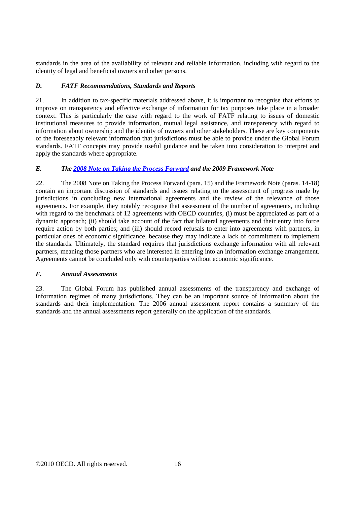standards in the area of the availability of relevant and reliable information, including with regard to the identity of legal and beneficial owners and other persons.

#### *D. FATF Recommendations, Standards and Reports*

21. In addition to tax-specific materials addressed above, it is important to recognise that efforts to improve on transparency and effective exchange of information for tax purposes take place in a broader context. This is particularly the case with regard to the work of FATF relating to issues of domestic institutional measures to provide information, mutual legal assistance, and transparency with regard to information about ownership and the identity of owners and other stakeholders. These are key components of the foreseeably relevant information that jurisdictions must be able to provide under the Global Forum standards. FATF concepts may provide useful guidance and be taken into consideration to interpret and apply the standards where appropriate.

#### *E. The 2008 [Note on Taking the Process Forward](http://www.oecd.org/dataoecd/15/49/44977503.pdf) and the 2009 Framework Note*

22. The 2008 Note on Taking the Process Forward (para. 15) and the Framework Note (paras. 14-18) contain an important discussion of standards and issues relating to the assessment of progress made by jurisdictions in concluding new international agreements and the review of the relevance of those agreements. For example, they notably recognise that assessment of the number of agreements, including with regard to the benchmark of 12 agreements with OECD countries, (i) must be appreciated as part of a dynamic approach; (ii) should take account of the fact that bilateral agreements and their entry into force require action by both parties; and (iii) should record refusals to enter into agreements with partners, in particular ones of economic significance, because they may indicate a lack of commitment to implement the standards. Ultimately, the standard requires that jurisdictions exchange information with all relevant partners, meaning those partners who are interested in entering into an information exchange arrangement. Agreements cannot be concluded only with counterparties without economic significance.

#### *F. Annual Assessments*

23. The Global Forum has published annual assessments of the transparency and exchange of information regimes of many jurisdictions. They can be an important source of information about the standards and their implementation. The 2006 annual assessment report contains a summary of the standards and the annual assessments report generally on the application of the standards.